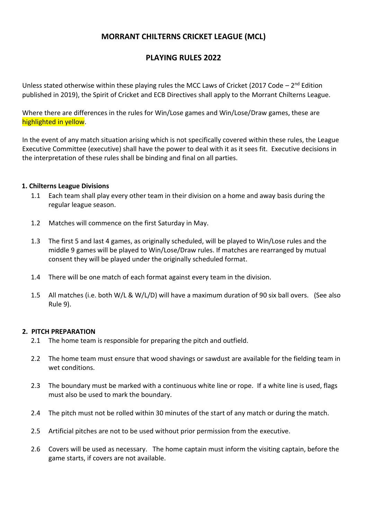# **MORRANT CHILTERNS CRICKET LEAGUE (MCL)**

# **PLAYING RULES 2022**

Unless stated otherwise within these playing rules the MCC Laws of Cricket (2017 Code – 2<sup>nd</sup> Edition published in 2019), the Spirit of Cricket and ECB Directives shall apply to the Morrant Chilterns League.

Where there are differences in the rules for Win/Lose games and Win/Lose/Draw games, these are highlighted in yellow.

In the event of any match situation arising which is not specifically covered within these rules, the League Executive Committee (executive) shall have the power to deal with it as it sees fit. Executive decisions in the interpretation of these rules shall be binding and final on all parties.

#### **1. Chilterns League Divisions**

- 1.1 Each team shall play every other team in their division on a home and away basis during the regular league season.
- 1.2 Matches will commence on the first Saturday in May.
- 1.3 The first 5 and last 4 games, as originally scheduled, will be played to Win/Lose rules and the middle 9 games will be played to Win/Lose/Draw rules. If matches are rearranged by mutual consent they will be played under the originally scheduled format.
- 1.4 There will be one match of each format against every team in the division.
- 1.5 All matches (i.e. both W/L & W/L/D) will have a maximum duration of 90 six ball overs. (See also Rule 9).

#### **2. PITCH PREPARATION**

- 2.1 The home team is responsible for preparing the pitch and outfield.
- 2.2 The home team must ensure that wood shavings or sawdust are available for the fielding team in wet conditions.
- 2.3 The boundary must be marked with a continuous white line or rope. If a white line is used, flags must also be used to mark the boundary.
- 2.4 The pitch must not be rolled within 30 minutes of the start of any match or during the match.
- 2.5 Artificial pitches are not to be used without prior permission from the executive.
- 2.6 Covers will be used as necessary. The home captain must inform the visiting captain, before the game starts, if covers are not available.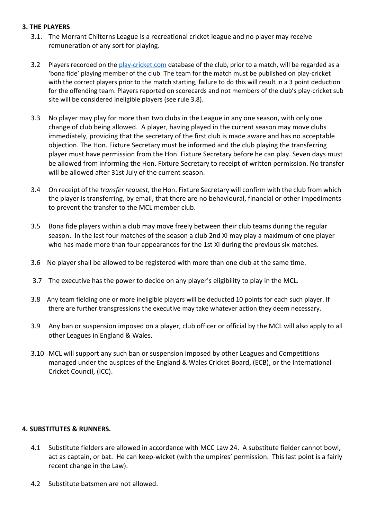### **3. THE PLAYERS**

- 3.1. The Morrant Chilterns League is a recreational cricket league and no player may receive remuneration of any sort for playing.
- 3.2 Players recorded on th[e play-cricket.com](http://play-cricket.com/) database of the club, prior to a match, will be regarded as a 'bona fide' playing member of the club. The team for the match must be published on play-cricket with the correct players prior to the match starting, failure to do this will result in a 3 point deduction for the offending team. Players reported on scorecards and not members of the club's play-cricket sub site will be considered ineligible players (see rule 3.8).
- 3.3 No player may play for more than two clubs in the League in any one season, with only one change of club being allowed. A player, having played in the current season may move clubs immediately, providing that the secretary of the first club is made aware and has no acceptable objection. The Hon. Fixture Secretary must be informed and the club playing the transferring player must have permission from the Hon. Fixture Secretary before he can play. Seven days must be allowed from informing the Hon. Fixture Secretary to receipt of written permission. No transfer will be allowed after 31st July of the current season.
- 3.4 On receipt of the *transfer request,* the Hon. Fixture Secretary will confirm with the club from which the player is transferring, by email, that there are no behavioural, financial or other impediments to prevent the transfer to the MCL member club.
- 3.5 Bona fide players within a club may move freely between their club teams during the regular season. In the last four matches of the season a club 2nd XI may play a maximum of one player who has made more than four appearances for the 1st XI during the previous six matches.
- 3.6 No player shall be allowed to be registered with more than one club at the same time.
- 3.7 The executive has the power to decide on any player's eligibility to play in the MCL.
- 3.8 Any team fielding one or more ineligible players will be deducted 10 points for each such player. If there are further transgressions the executive may take whatever action they deem necessary.
- 3.9 Any ban or suspension imposed on a player, club officer or official by the MCL will also apply to all other Leagues in England & Wales.
- 3.10 MCL will support any such ban or suspension imposed by other Leagues and Competitions managed under the auspices of the England & Wales Cricket Board, (ECB), or the International Cricket Council, (ICC).

### **4. SUBSTITUTES & RUNNERS.**

- 4.1 Substitute fielders are allowed in accordance with MCC Law 24. A substitute fielder cannot bowl, act as captain, or bat. He can keep-wicket (with the umpires' permission. This last point is a fairly recent change in the Law).
- 4.2 Substitute batsmen are not allowed.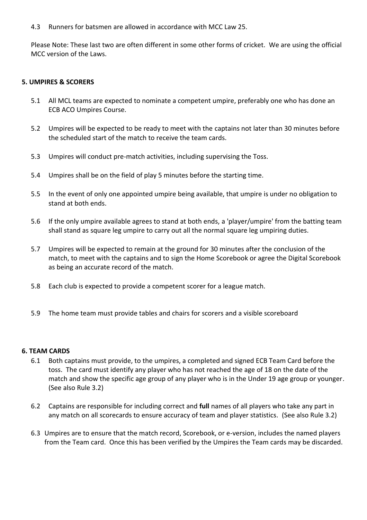4.3 Runners for batsmen are allowed in accordance with MCC Law 25.

Please Note: These last two are often different in some other forms of cricket. We are using the official MCC version of the Laws.

## **5. UMPIRES & SCORERS**

- 5.1 All MCL teams are expected to nominate a competent umpire, preferably one who has done an ECB ACO Umpires Course.
- 5.2 Umpires will be expected to be ready to meet with the captains not later than 30 minutes before the scheduled start of the match to receive the team cards.
- 5.3 Umpires will conduct pre-match activities, including supervising the Toss.
- 5.4 Umpires shall be on the field of play 5 minutes before the starting time.
- 5.5 In the event of only one appointed umpire being available, that umpire is under no obligation to stand at both ends.
- 5.6 If the only umpire available agrees to stand at both ends, a 'player/umpire' from the batting team shall stand as square leg umpire to carry out all the normal square leg umpiring duties.
- 5.7 Umpires will be expected to remain at the ground for 30 minutes after the conclusion of the match, to meet with the captains and to sign the Home Scorebook or agree the Digital Scorebook as being an accurate record of the match.
- 5.8 Each club is expected to provide a competent scorer for a league match.
- 5.9 The home team must provide tables and chairs for scorers and a visible scoreboard

### **6. TEAM CARDS**

- 6.1 Both captains must provide, to the umpires, a completed and signed ECB Team Card before the toss. The card must identify any player who has not reached the age of 18 on the date of the match and show the specific age group of any player who is in the Under 19 age group or younger. (See also Rule 3.2)
- 6.2 Captains are responsible for including correct and **full** names of all players who take any part in any match on all scorecards to ensure accuracy of team and player statistics. (See also Rule 3.2)
- 6.3 Umpires are to ensure that the match record, Scorebook, or e-version, includes the named players from the Team card. Once this has been verified by the Umpires the Team cards may be discarded.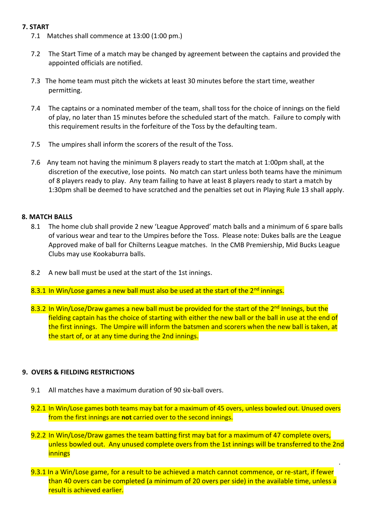# **7. START**

- 7.1 Matches shall commence at 13:00 (1:00 pm.)
- 7.2 The Start Time of a match may be changed by agreement between the captains and provided the appointed officials are notified.
- 7.3 The home team must pitch the wickets at least 30 minutes before the start time, weather permitting.
- 7.4 The captains or a nominated member of the team, shall toss for the choice of innings on the field of play, no later than 15 minutes before the scheduled start of the match. Failure to comply with this requirement results in the forfeiture of the Toss by the defaulting team.
- 7.5 The umpires shall inform the scorers of the result of the Toss.
- 7.6 Any team not having the minimum 8 players ready to start the match at 1:00pm shall, at the discretion of the executive, lose points. No match can start unless both teams have the minimum of 8 players ready to play. Any team failing to have at least 8 players ready to start a match by 1:30pm shall be deemed to have scratched and the penalties set out in Playing Rule 13 shall apply.

## **8. MATCH BALLS**

- 8.1 The home club shall provide 2 new 'League Approved' match balls and a minimum of 6 spare balls of various wear and tear to the Umpires before the Toss. Please note: Dukes balls are the League Approved make of ball for Chilterns League matches. In the CMB Premiership, Mid Bucks League Clubs may use Kookaburra balls.
- 8.2 A new ball must be used at the start of the 1st innings.
- 8.3.1 In Win/Lose games a new ball must also be used at the start of the 2<sup>nd</sup> innings.
- 8.3.2 In Win/Lose/Draw games a new ball must be provided for the start of the  $2<sup>nd</sup>$  Innings, but the fielding captain has the choice of starting with either the new ball or the ball in use at the end of the first innings. The Umpire will inform the batsmen and scorers when the new ball is taken, at the start of, or at any time during the 2nd innings.

# **9. OVERS & FIELDING RESTRICTIONS**

- 9.1 All matches have a maximum duration of 90 six-ball overs.
- 9.2.1 In Win/Lose games both teams may bat for a maximum of 45 overs, unless bowled out. Unused overs from the first innings are **not** carried over to the second innings.
- 9.2.2 In Win/Lose/Draw games the team batting first may bat for a maximum of 47 complete overs, unless bowled out. Any unused complete overs from the 1st innings will be transferred to the 2nd innings

.

9.3.1 In a Win/Lose game, for a result to be achieved a match cannot commence, or re-start, if fewer than 40 overs can be completed (a minimum of 20 overs per side) in the available time, unless a result is achieved earlier.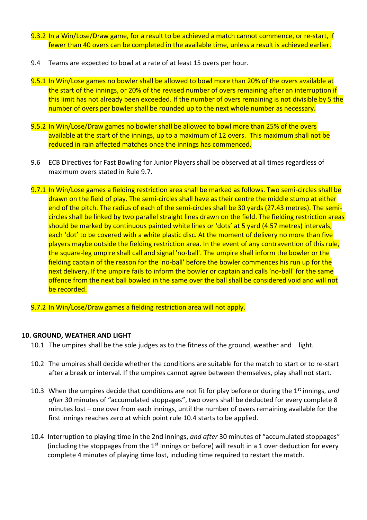- 9.3.2 In a Win/Lose/Draw game, for a result to be achieved a match cannot commence, or re-start, if fewer than 40 overs can be completed in the available time, unless a result is achieved earlier.
- 9.4 Teams are expected to bowl at a rate of at least 15 overs per hour.
- 9.5.1 In Win/Lose games no bowler shall be allowed to bowl more than 20% of the overs available at the start of the innings, or 20% of the revised number of overs remaining after an interruption if this limit has not already been exceeded. If the number of overs remaining is not divisible by 5 the number of overs per bowler shall be rounded up to the next whole number as necessary.
- 9.5.2 In Win/Lose/Draw games no bowler shall be allowed to bowl more than 25% of the overs available at the start of the innings, up to a maximum of 12 overs. This maximum shall not be reduced in rain affected matches once the innings has commenced.
- 9.6 ECB Directives for Fast Bowling for Junior Players shall be observed at all times regardless of maximum overs stated in Rule 9.7.
- 9.7.1 In Win/Lose games a fielding restriction area shall be marked as follows. Two semi-circles shall be drawn on the field of play. The semi-circles shall have as their centre the middle stump at either end of the pitch. The radius of each of the semi-circles shall be 30 yards (27.43 metres). The semicircles shall be linked by two parallel straight lines drawn on the field. The fielding restriction areas should be marked by continuous painted white lines or 'dots' at 5 yard (4.57 metres) intervals, each 'dot' to be covered with a white plastic disc. At the moment of delivery no more than five players maybe outside the fielding restriction area. In the event of any contravention of this rule, the square-leg umpire shall call and signal 'no-ball'. The umpire shall inform the bowler or the fielding captain of the reason for the 'no-ball' before the bowler commences his run up for the next delivery. If the umpire fails to inform the bowler or captain and calls 'no-ball' for the same offence from the next ball bowled in the same over the ball shall be considered void and will not be recorded.

9.7.2 In Win/Lose/Draw games a fielding restriction area will not apply.

# **10. GROUND, WEATHER AND LIGHT**

- 10.1 The umpires shall be the sole judges as to the fitness of the ground, weather and light.
- 10.2 The umpires shall decide whether the conditions are suitable for the match to start or to re-start after a break or interval. If the umpires cannot agree between themselves, play shall not start.
- 10.3 When the umpires decide that conditions are not fit for play before or during the 1st innings, *and after* 30 minutes of "accumulated stoppages", two overs shall be deducted for every complete 8 minutes lost – one over from each innings, until the number of overs remaining available for the first innings reaches zero at which point rule 10.4 starts to be applied.
- 10.4 Interruption to playing time in the 2nd innings, *and after* 30 minutes of "accumulated stoppages" (including the stoppages from the  $1<sup>st</sup>$  Innings or before) will result in a 1 over deduction for every complete 4 minutes of playing time lost, including time required to restart the match.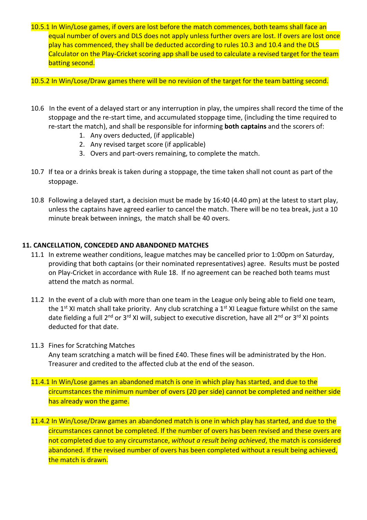10.5.1 In Win/Lose games, if overs are lost before the match commences, both teams shall face an equal number of overs and DLS does not apply unless further overs are lost. If overs are lost once play has commenced, they shall be deducted according to rules 10.3 and 10.4 and the DLS Calculator on the Play-Cricket scoring app shall be used to calculate a revised target for the team batting second.

10.5.2 In Win/Lose/Draw games there will be no revision of the target for the team batting second.

- 10.6 In the event of a delayed start or any interruption in play, the umpires shall record the time of the stoppage and the re-start time, and accumulated stoppage time, (including the time required to re-start the match), and shall be responsible for informing **both captains** and the scorers of:
	- 1. Any overs deducted, (if applicable)
	- 2. Any revised target score (if applicable)
	- 3. Overs and part-overs remaining, to complete the match.
- 10.7 If tea or a drinks break is taken during a stoppage, the time taken shall not count as part of the stoppage.
- 10.8 Following a delayed start, a decision must be made by 16:40 (4.40 pm) at the latest to start play, unless the captains have agreed earlier to cancel the match. There will be no tea break, just a 10 minute break between innings, the match shall be 40 overs.

# **11. CANCELLATION, CONCEDED AND ABANDONED MATCHES**

- 11.1 In extreme weather conditions, league matches may be cancelled prior to 1:00pm on Saturday, providing that both captains (or their nominated representatives) agree. Results must be posted on Play-Cricket in accordance with Rule 18. If no agreement can be reached both teams must attend the match as normal.
- 11.2 In the event of a club with more than one team in the League only being able to field one team, the 1<sup>st</sup> XI match shall take priority. Any club scratching a 1<sup>st</sup> XI League fixture whilst on the same date fielding a full 2<sup>nd</sup> or 3<sup>rd</sup> XI will, subject to executive discretion, have all 2<sup>nd</sup> or 3<sup>rd</sup> XI points deducted for that date.
- 11.3 Fines for Scratching Matches

Any team scratching a match will be fined £40. These fines will be administrated by the Hon. Treasurer and credited to the affected club at the end of the season.

- 11.4.1 In Win/Lose games an abandoned match is one in which play has started, and due to the circumstances the minimum number of overs (20 per side) cannot be completed and neither side has already won the game.
- 11.4.2 In Win/Lose/Draw games an abandoned match is one in which play has started, and due to the circumstances cannot be completed. If the number of overs has been revised and these overs are not completed due to any circumstance, *without a result being achieved*, the match is considered abandoned. If the revised number of overs has been completed without a result being achieved, the match is drawn.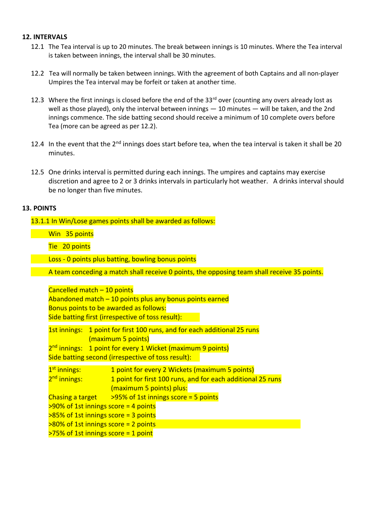#### **12. INTERVALS**

- 12.1 The Tea interval is up to 20 minutes. The break between innings is 10 minutes. Where the Tea interval is taken between innings, the interval shall be 30 minutes.
- 12.2 Tea will normally be taken between innings. With the agreement of both Captains and all non-player Umpires the Tea interval may be forfeit or taken at another time.
- 12.3 Where the first innings is closed before the end of the  $33<sup>rd</sup>$  over (counting any overs already lost as well as those played), only the interval between innings — 10 minutes — will be taken, and the 2nd innings commence. The side batting second should receive a minimum of 10 complete overs before Tea (more can be agreed as per 12.2).
- 12.4 In the event that the 2<sup>nd</sup> innings does start before tea, when the tea interval is taken it shall be 20 minutes.
- 12.5 One drinks interval is permitted during each innings. The umpires and captains may exercise discretion and agree to 2 or 3 drinks intervals in particularly hot weather. A drinks interval should be no longer than five minutes.

#### **13. POINTS**

13.1.1 In Win/Lose games points shall be awarded as follows:

Win 35 points

Tie 20 points

Loss - 0 points plus batting, bowling bonus points

A team conceding a match shall receive 0 points, the opposing team shall receive 35 points.

Cancelled match – 10 points Abandoned match – 10 points plus any bonus points earned Bonus points to be awarded as follows: Side batting first (irrespective of toss result):

1st innings: 1 point for first 100 runs, and for each additional 25 runs (maximum 5 points) 2<sup>nd</sup> innings: 1 point for every 1 Wicket (maximum 9 points) Side batting second (irrespective of toss result):

1<sup>st</sup> innings: 1 point for every 2 Wickets (maximum 5 points) 2<sup>nd</sup> innings: 1 point for first 100 runs, and for each additional 25 runs (maximum 5 points) plus: Chasing a target  $>95\%$  of 1st innings score = 5 points  $>90\%$  of 1st innings score = 4 points >85% of 1st innings score = 3 points >80% of 1st innings score = 2 points  $>75\%$  of 1st innings score = 1 point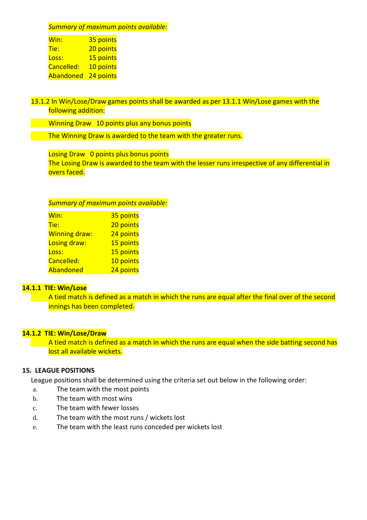*Summary of maximum points available:*

| Win:       | 35 points |
|------------|-----------|
| Tie:       | 20 points |
| Loss:      | 15 points |
| Cancelled: | 10 points |
| Abandoned  | 24 points |

13.1.2 In Win/Lose/Draw games points shall be awarded as per 13.1.1 Win/Lose games with the following addition:

Winning Draw 10 points plus any bonus points

The Winning Draw is awarded to the team with the greater runs.

Losing Draw 0 points plus bonus points The Losing Draw is awarded to the team with the lesser runs irrespective of any differential in overs faced.

*Summary of maximum points available:*

| Win:                 | 35 points |
|----------------------|-----------|
| Tie:                 | 20 points |
| <b>Winning draw:</b> | 24 points |
| Losing draw:         | 15 points |
| Loss:                | 15 points |
| Cancelled:           | 10 points |
| Abandoned            | 24 points |

## **14.1.1 TIE: Win/Lose**

A tied match is defined as a match in which the runs are equal after the final over of the second innings has been completed.

### **14.1.2 TIE: Win/Lose/Draw**

A tied match is defined as a match in which the runs are equal when the side batting second has lost all available wickets.

# **15. LEAGUE POSITIONS**

League positions shall be determined using the criteria set out below in the following order:

- a. The team with the most points
- b. The team with most wins
- c. The team with fewer losses
- d. The team with the most runs / wickets lost
- e. The team with the least runs conceded per wickets lost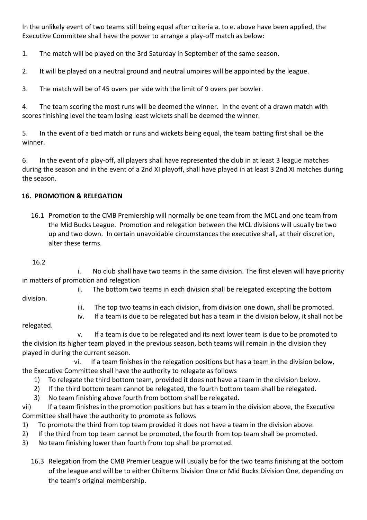In the unlikely event of two teams still being equal after criteria a. to e. above have been applied, the Executive Committee shall have the power to arrange a play-off match as below:

1. The match will be played on the 3rd Saturday in September of the same season.

2. It will be played on a neutral ground and neutral umpires will be appointed by the league.

3. The match will be of 45 overs per side with the limit of 9 overs per bowler.

4. The team scoring the most runs will be deemed the winner. In the event of a drawn match with scores finishing level the team losing least wickets shall be deemed the winner.

5. In the event of a tied match or runs and wickets being equal, the team batting first shall be the winner.

6. In the event of a play-off, all players shall have represented the club in at least 3 league matches during the season and in the event of a 2nd XI playoff, shall have played in at least 3 2nd XI matches during the season.

# **16. PROMOTION & RELEGATION**

16.1 Promotion to the CMB Premiership will normally be one team from the MCL and one team from the Mid Bucks League. Promotion and relegation between the MCL divisions will usually be two up and two down. In certain unavoidable circumstances the executive shall, at their discretion, alter these terms.

16.2

 i. No club shall have two teams in the same division. The first eleven will have priority in matters of promotion and relegation

ii. The bottom two teams in each division shall be relegated excepting the bottom

division.

iii. The top two teams in each division, from division one down, shall be promoted.

iv. If a team is due to be relegated but has a team in the division below, it shall not be

relegated.

 v. If a team is due to be relegated and its next lower team is due to be promoted to the division its higher team played in the previous season, both teams will remain in the division they played in during the current season.

 vi. If a team finishes in the relegation positions but has a team in the division below, the Executive Committee shall have the authority to relegate as follows

- 1) To relegate the third bottom team, provided it does not have a team in the division below.
- 2) If the third bottom team cannot be relegated, the fourth bottom team shall be relegated.
- 3) No team finishing above fourth from bottom shall be relegated.

vii) If a team finishes in the promotion positions but has a team in the division above, the Executive Committee shall have the authority to promote as follows

- 1) To promote the third from top team provided it does not have a team in the division above.
- 2) If the third from top team cannot be promoted, the fourth from top team shall be promoted.
- 3) No team finishing lower than fourth from top shall be promoted.
	- 16.3 Relegation from the CMB Premier League will usually be for the two teams finishing at the bottom of the league and will be to either Chilterns Division One or Mid Bucks Division One, depending on the team's original membership.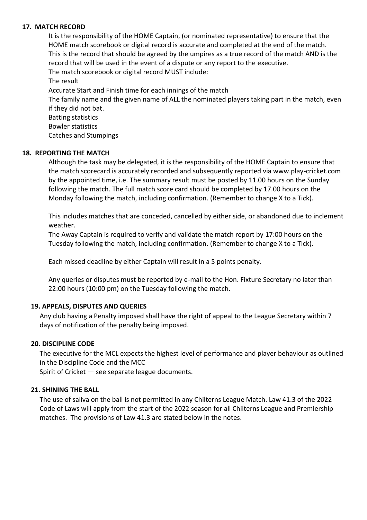#### **17. MATCH RECORD**

It is the responsibility of the HOME Captain, (or nominated representative) to ensure that the HOME match scorebook or digital record is accurate and completed at the end of the match. This is the record that should be agreed by the umpires as a true record of the match AND is the record that will be used in the event of a dispute or any report to the executive. The match scorebook or digital record MUST include: The result Accurate Start and Finish time for each innings of the match The family name and the given name of ALL the nominated players taking part in the match, even if they did not bat. Batting statistics Bowler statistics

Catches and Stumpings

### **18. REPORTING THE MATCH**

Although the task may be delegated, it is the responsibility of the HOME Captain to ensure that the match scorecard is accurately recorded and subsequently reported via www.play-cricket.com by the appointed time, i.e. The summary result must be posted by 11.00 hours on the Sunday following the match. The full match score card should be completed by 17.00 hours on the Monday following the match, including confirmation. (Remember to change X to a Tick).

This includes matches that are conceded, cancelled by either side, or abandoned due to inclement weather.

The Away Captain is required to verify and validate the match report by 17:00 hours on the Tuesday following the match, including confirmation. (Remember to change X to a Tick).

Each missed deadline by either Captain will result in a 5 points penalty.

Any queries or disputes must be reported by e-mail to the Hon. Fixture Secretary no later than 22:00 hours (10:00 pm) on the Tuesday following the match.

#### **19. APPEALS, DISPUTES AND QUERIES**

Any club having a Penalty imposed shall have the right of appeal to the League Secretary within 7 days of notification of the penalty being imposed.

#### **20. DISCIPLINE CODE**

The executive for the MCL expects the highest level of performance and player behaviour as outlined in the Discipline Code and the MCC

Spirit of Cricket — see separate league documents.

### **21. SHINING THE BALL**

The use of saliva on the ball is not permitted in any Chilterns League Match. Law 41.3 of the 2022 Code of Laws will apply from the start of the 2022 season for all Chilterns League and Premiership matches. The provisions of Law 41.3 are stated below in the notes.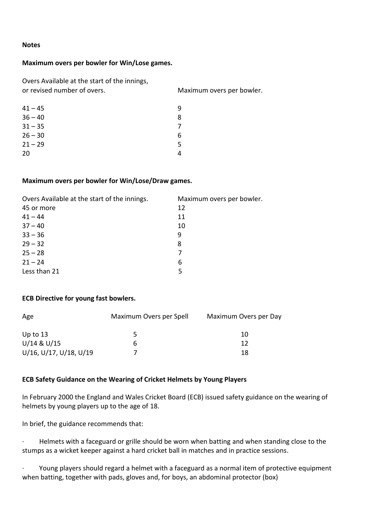#### **Notes**

### **Maximum overs per bowler for Win/Lose games.**

Overs Available at the start of the innings, or revised number of overs. Maximum overs per bowler.

| q |
|---|
| 8 |
| 7 |
| 6 |
| 5 |
| Δ |
|   |

#### **Maximum overs per bowler for Win/Lose/Draw games.**

| Overs Available at the start of the innings. | Maximum overs per bowler. |
|----------------------------------------------|---------------------------|
| 45 or more                                   | 12                        |
| $41 - 44$                                    | 11                        |
| $37 - 40$                                    | 10                        |
| $33 - 36$                                    | 9                         |
| $29 - 32$                                    | 8                         |
| $25 - 28$                                    |                           |
| $21 - 24$                                    | 6                         |
| Less than 21                                 | 5                         |
|                                              |                           |

### **ECB Directive for young fast bowlers.**

| Age                    | Maximum Overs per Spell | Maximum Overs per Day |
|------------------------|-------------------------|-----------------------|
| Up to $13$             |                         | 10                    |
| U/14 & U/15            | h                       | 12                    |
| U/16, U/17, U/18, U/19 |                         | 18                    |

## **ECB Safety Guidance on the Wearing of Cricket Helmets by Young Players**

In February 2000 the England and Wales Cricket Board (ECB) issued safety guidance on the wearing of helmets by young players up to the age of 18.

In brief, the guidance recommends that:

Helmets with a faceguard or grille should be worn when batting and when standing close to the stumps as a wicket keeper against a hard cricket ball in matches and in practice sessions.

· Young players should regard a helmet with a faceguard as a normal item of protective equipment when batting, together with pads, gloves and, for boys, an abdominal protector (box)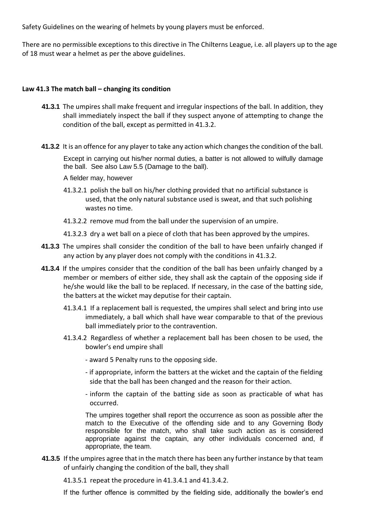Safety Guidelines on the wearing of helmets by young players must be enforced.

There are no permissible exceptions to this directive in The Chilterns League, i.e. all players up to the age of 18 must wear a helmet as per the above guidelines.

# **Law 41.3 The match ball – changing its condition**

- **41.3.1** The umpires shall make frequent and irregular inspections of the ball. In addition, they shall immediately inspect the ball if they suspect anyone of attempting to change the condition of the ball, except as permitted in 41.3.2.
- **41.3.2** It is an offence for any player to take any action which changes the condition of the ball.

Except in carrying out his/her normal duties, a batter is not allowed to wilfully damage the ball. See also Law 5.5 (Damage to the ball).

A fielder may, however

- 41.3.2.1 polish the ball on his/her clothing provided that no artificial substance is used, that the only natural substance used is sweat, and that such polishing wastes no time.
- 41.3.2.2 remove mud from the ball under the supervision of an umpire.
- 41.3.2.3 dry a wet ball on a piece of cloth that has been approved by the umpires.
- **41.3.3** The umpires shall consider the condition of the ball to have been unfairly changed if any action by any player does not comply with the conditions in 41.3.2.
- **41.3.4** If the umpires consider that the condition of the ball has been unfairly changed by a member or members of either side, they shall ask the captain of the opposing side if he/she would like the ball to be replaced. If necessary, in the case of the batting side, the batters at the wicket may deputise for their captain.
	- 41.3.4.1 If a replacement ball is requested, the umpires shall select and bring into use immediately, a ball which shall have wear comparable to that of the previous ball immediately prior to the contravention.
	- 41.3.4.2 Regardless of whether a replacement ball has been chosen to be used, the bowler's end umpire shall
		- award 5 Penalty runs to the opposing side.
		- if appropriate, inform the batters at the wicket and the captain of the fielding side that the ball has been changed and the reason for their action.
		- inform the captain of the batting side as soon as practicable of what has occurred.

The umpires together shall report the occurrence as soon as possible after the match to the Executive of the offending side and to any Governing Body responsible for the match, who shall take such action as is considered appropriate against the captain, any other individuals concerned and, if appropriate, the team.

**41.3.5** If the umpires agree that in the match there has been any further instance by that team of unfairly changing the condition of the ball, they shall

41.3.5.1 repeat the procedure in 41.3.4.1 and 41.3.4.2.

If the further offence is committed by the fielding side, additionally the bowler's end